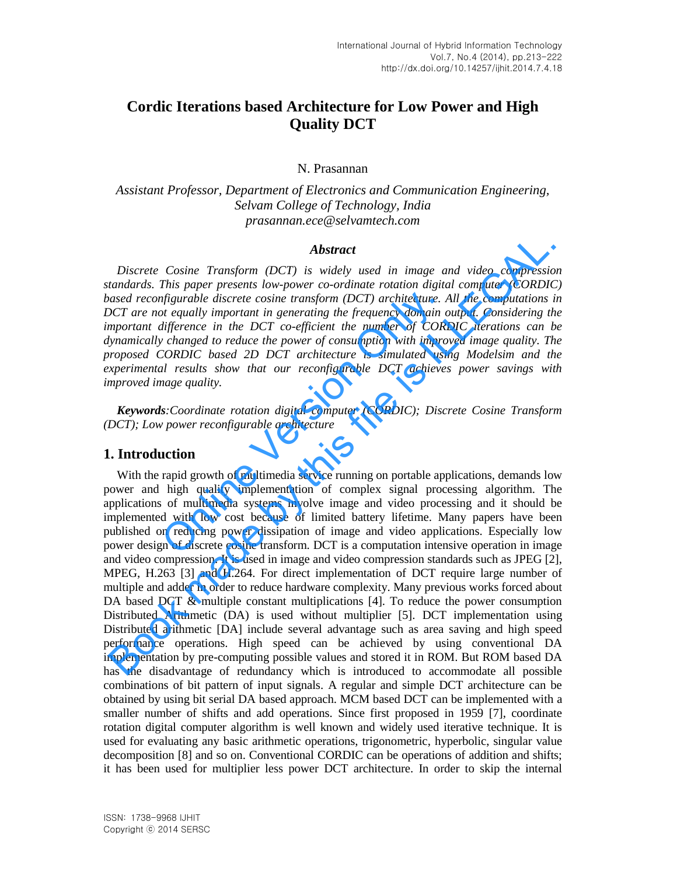# **Cordic Iterations based Architecture for Low Power and High Quality DCT**

#### N. Prasannan

*Assistant Professor, Department of Electronics and Communication Engineering, Selvam College of Technology, India prasannan.ece@selvamtech.com* 

#### *Abstract*

*Discrete Cosine Transform (DCT) is widely used in image and video compression standards. This paper presents low-power co-ordinate rotation digital computer (CORDIC) based reconfigurable discrete cosine transform (DCT) architecture. All the computations in DCT are not equally important in generating the frequency domain output. Considering the important difference in the DCT co-efficient the number of CORDIC iterations can be dynamically changed to reduce the power of consumption with improved image quality. The proposed CORDIC based 2D DCT architecture is simulated using Modelsim and the experimental results show that our reconfigurable DCT achieves power savings with improved image quality. digurable discrete cosine transform (DCT) architecture. A t* equally important in generating the frequency domain *c difference in the DCT co-efficient the number of CORI changed to reduce the power of consumption w* 

*Keywords:Coordinate rotation digital computer (CORDIC); Discrete Cosine Transform (DCT); Low power reconfigurable architecture* 

### **1. Introduction**

With the rapid growth of multimedia service running on portable applications, demands low power and high quality implementation of complex signal processing algorithm. The applications of multimedia systems involve image and video processing and it should be implemented with low cost because of limited battery lifetime. Many papers have been published on reducing power dissipation of image and video applications. Especially low power design of discrete cosine transform. DCT is a computation intensive operation in image and video compression. It is used in image and video compression standards such as JPEG [2], MPEG, H.263 [3] and H.264. For direct implementation of DCT require large number of multiple and adder in order to reduce hardware complexity. Many previous works forced about DA based DCT & multiple constant multiplications [4]. To reduce the power consumption Distributed Arithmetic (DA) is used without multiplier [5]. DCT implementation using Distributed arithmetic [DA] include several advantage such as area saving and high speed performance operations. High speed can be achieved by using conventional DA implementation by pre-computing possible values and stored it in ROM. But ROM based DA has the disadvantage of redundancy which is introduced to accommodate all possible combinations of bit pattern of input signals. A regular and simple DCT architecture can be obtained by using bit serial DA based approach. MCM based DCT can be implemented with a smaller number of shifts and add operations. Since first proposed in 1959 [7], coordinate rotation digital computer algorithm is well known and widely used iterative technique. It is used for evaluating any basic arithmetic operations, trigonometric, hyperbolic, singular value decomposition [8] and so on. Conventional CORDIC can be operations of addition and shifts; it has been used for multiplier less power DCT architecture. In order to skip the internal **Abstract**<br> **Abstract**<br> **Constrained Abstract**<br> **Book made that the complementation** (DCT) is widely used in image and video compression<br>
that a consider and  $\alpha$  and  $\gamma$  and  $\gamma$  and  $\gamma$  and  $\gamma$  and  $\gamma$  and  $\gamma$  and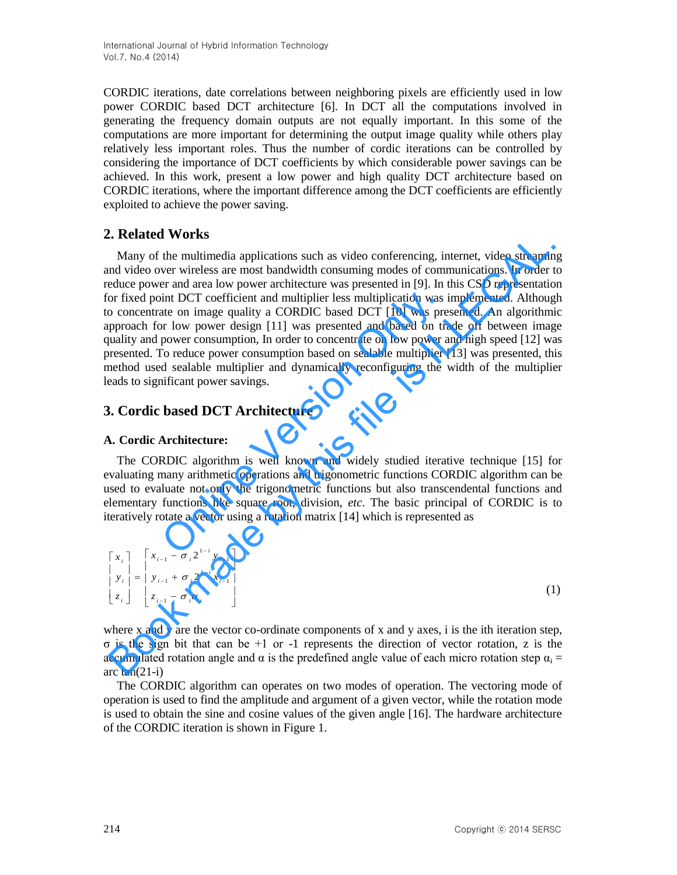CORDIC iterations, date correlations between neighboring pixels are efficiently used in low power CORDIC based DCT architecture [6]. In DCT all the computations involved in generating the frequency domain outputs are not equally important. In this some of the computations are more important for determining the output image quality while others play relatively less important roles. Thus the number of cordic iterations can be controlled by considering the importance of DCT coefficients by which considerable power savings can be achieved. In this work, present a low power and high quality DCT architecture based on CORDIC iterations, where the important difference among the DCT coefficients are efficiently exploited to achieve the power saving.

## **2. Related Works**

Many of the multimedia applications such as video conferencing, internet, video streaming and video over wireless are most bandwidth consuming modes of communications. In order to reduce power and area low power architecture was presented in [9]. In this CSD representation for fixed point DCT coefficient and multiplier less multiplication was implemented. Although to concentrate on image quality a CORDIC based DCT [10] was presented. An algorithmic approach for low power design [11] was presented and based on trade off between image quality and power consumption, In order to concentrate on low power and high speed [12] was presented. To reduce power consumption based on sealable multiplier [13] was presented, this method used sealable multiplier and dynamically reconfiguring the width of the multiplier leads to significant power savings. nt and multiplier less multiplication was inty a CORDIC based DCT [10] was pre<br>gn [11] was presented and based on train, In order to concentrate on low power a<br>onsumption based on sealable multiplier |<br>lier and dynamically **Example 10** The multimedia applications such as video conferencing, internet, video streaminal of the multimedia applications such as video conferencing, internet, video streaminal of video over wireless are most bandwid

## **3. Cordic based DCT Architecture**

### **A. Cordic Architecture:**

The CORDIC algorithm is well known and widely studied iterative technique [15] for evaluating many arithmetic operations and trigonometric functions CORDIC algorithm can be used to evaluate not only the trigonometric functions but also transcendental functions and elementary functions like square root, division, *etc*. The basic principal of CORDIC is to iteratively rotate a vector using a rotation matrix [14] which is represented as many arithmetic operation<br>many arithmetic operation<br>luate not only the trig<br>functions like square<br>otate a vector using a ro

| $\begin{bmatrix} x_i \\ y_i \end{bmatrix} = \begin{bmatrix} x_{i-1} - \sigma_i 2^{1-i} y_{i-1} \\ y_{i-1} + \sigma_i 2^{1-i} x_{i-1} \end{bmatrix}$ |  |
|-----------------------------------------------------------------------------------------------------------------------------------------------------|--|
|                                                                                                                                                     |  |
| $\begin{bmatrix} z_i \end{bmatrix}$ $\begin{bmatrix} z_{i-1} - \sigma_i \alpha_i \end{bmatrix}$                                                     |  |

where x and y are the vector co-ordinate components of x and y axes, i is the ith iteration step, σ is the sign bit that can be +1 or -1 represents the direction of vector rotation, z is the accumulated rotation angle and  $\alpha$  is the predefined angle value of each micro rotation step  $\alpha_i =$ arc  $tan(21-i)$ 

The CORDIC algorithm can operates on two modes of operation. The vectoring mode of operation is used to find the amplitude and argument of a given vector, while the rotation mode is used to obtain the sine and cosine values of the given angle [16]. The hardware architecture of the CORDIC iteration is shown in Figure 1.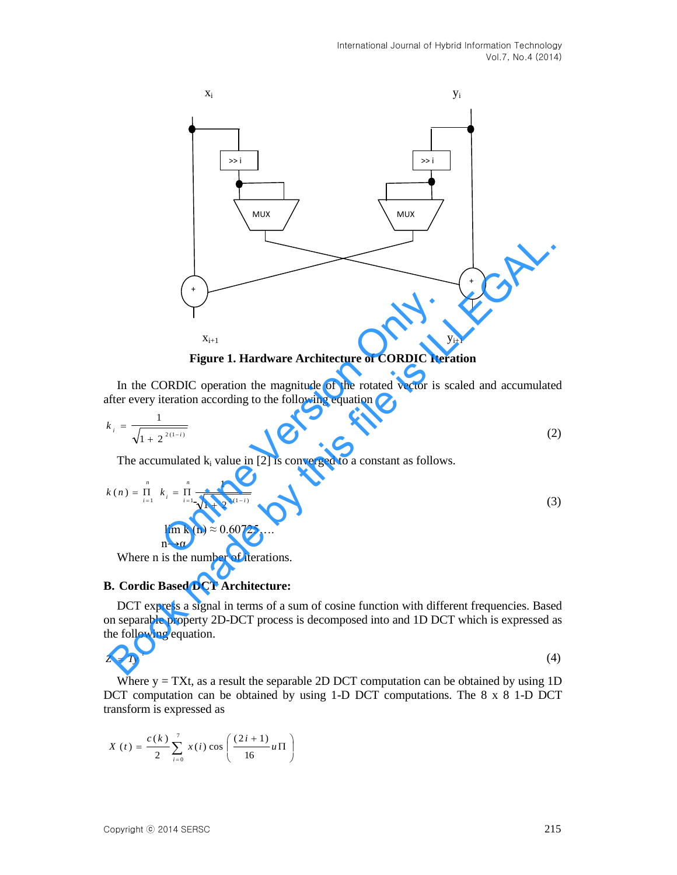

**Figure 1. Hardware Architecture of CORDIC Iteration** 

In the CORDIC operation the magnitude of the rotated vector is scaled and accumulated after every iteration according to the following equation

$$
k_i = \frac{1}{\sqrt{1 + 2^{2(1-i)}}}
$$
 (2)

The accumulated  $k_i$  value in [2] is converged to a constant as follows.

Figure 1. Hardware Architecture of CORDIC Iteration  
\nIn the CORDIC operation the magnitude of the rotated vector is scaled and accumulated after every iteration according to the following equation  
\n
$$
k_i = \frac{1}{\sqrt{1 + 2^{2(1-i)}}}
$$
\n
$$
k_i = \frac{1}{\sqrt{1 + 2^{2(1-i)}}}
$$
\nThe accumulated k<sub>i</sub> value in [2] is converged to a constant as follows.  
\n
$$
k(n) = \prod_{i=1}^{n} k_i = \prod_{i=1}^{n} \frac{1}{\sqrt{1 + 2^{2(1-i)}}}
$$
\n
$$
\lim_{n \to \alpha} k(n) \approx 0.60725...
$$
\n(3)

Where n is the number of iterations.

#### **B. Cordic Based DCT Architecture:**

DCT express a signal in terms of a sum of cosine function with different frequencies. Based on separable property 2D-DCT process is decomposed into and 1D DCT which is expressed as the following equation.

$$
Z = Ty' \tag{4}
$$

Where  $y = TXt$ , as a result the separable 2D DCT computation can be obtained by using 1D DCT computation can be obtained by using 1-D DCT computations. The 8 x 8 1-D DCT transform is expressed as

$$
X(t) = \frac{c(k)}{2} \sum_{i=0}^{7} x(i) \cos \left( \frac{(2i+1)}{16} u \Pi \right)
$$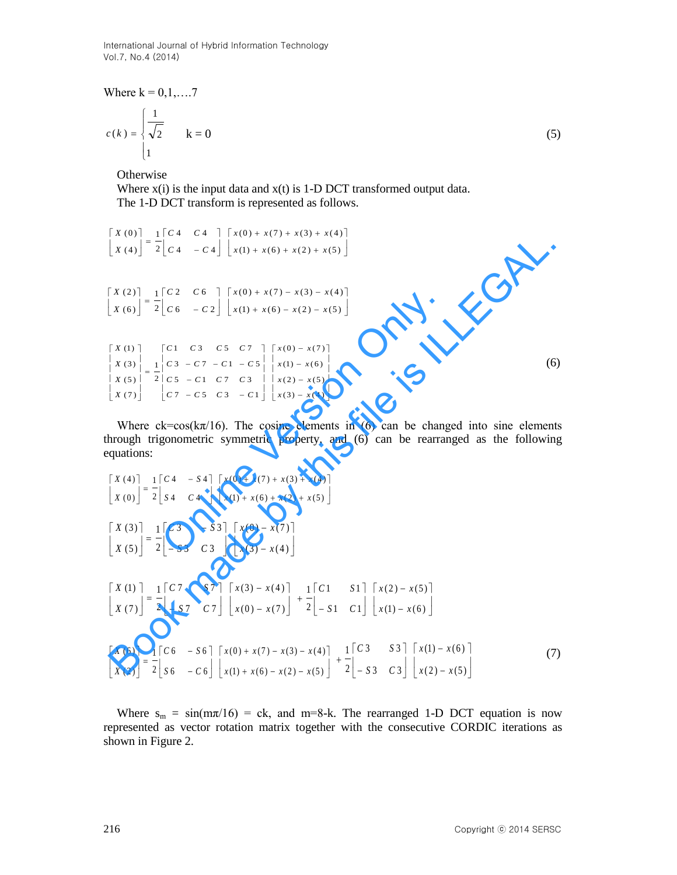International Journal of Hybrid Information Technology Vol.7, No.4 (2014)

Where  $k = 0, 1, \ldots, 7$ 

$$
c(k) = \begin{cases} \frac{1}{\sqrt{2}} \\ 1 \end{cases} \qquad k = 0 \tag{5}
$$

**Otherwise** 

Where  $x(i)$  is the input data and  $x(t)$  is 1-D DCT transformed output data. The 1-D DCT transform is represented as follows.

$$
\begin{bmatrix} X(0) \\ X(4) \end{bmatrix} = \frac{1}{2} \begin{bmatrix} C4 & C4 \\ C4 & -C4 \end{bmatrix} \begin{bmatrix} x(0) + x(7) + x(3) + x(4) \\ x(1) + x(6) + x(2) + x(5) \end{bmatrix}
$$

$$
\begin{bmatrix} X(2) \\ X(6) \end{bmatrix} = \frac{1}{2} \begin{bmatrix} C2 & C6 \\ C6 & -C2 \end{bmatrix} \begin{bmatrix} x(0) + x(7) - x(3) - x(4) \\ x(1) + x(6) - x(2) - x(5) \end{bmatrix}
$$

$$
\begin{bmatrix} X & (1) \\ X & (3) \\ X & (5) \\ X & (5) \\ X & (7) \end{bmatrix} = \frac{1}{2} \begin{bmatrix} C1 & C3 & C5 & C7 \\ C3 & -C7 & -C1 & -C5 \\ 2 & C5 & -C1 & C7 & C3 \\ C7 & -C5 & C3 & -C1 \end{bmatrix} \begin{bmatrix} x(0) - x(7) \\ x(1) - x(6) \\ x(2) - x(5) \\ x(3) - x(4) \end{bmatrix}
$$
 (6)

Where  $ck = cos(k\pi/16)$ . The cosine elements in (6) can be changed into sine elements through trigonometric symmetric property, and (6) can be rearranged as the following equations:

$$
\begin{bmatrix}\nx(0) \\
x(4)\n\end{bmatrix} = \frac{1}{2} \begin{bmatrix} c^2 & c^4 \\
c^4 & -c^4\n\end{bmatrix} \begin{bmatrix}\nx(0) + x(7) + x(3) + x(5) \\
x(6) - x(2) + x(5)\n\end{bmatrix}
$$
\n
$$
\begin{bmatrix}\nX(2) \\
X(6)\n\end{bmatrix} = \frac{1}{2} \begin{bmatrix} c^2 & c^6 \\
c^6 & -c^2\n\end{bmatrix} \begin{bmatrix}\nx(0) + x(7) - x(3) - x(4) \\
x(1) + x(6) - x(2) - x(5)\n\end{bmatrix}
$$
\n
$$
\begin{bmatrix}\nx(1) \\
x(3) \\
x(5) \\
x(7)\n\end{bmatrix} = \frac{1}{2} \begin{bmatrix} c^2 & c^6 \\
c^5 & -c^2 & c^3 \\
c^6 & -c^2 & c^3\n\end{bmatrix} \begin{bmatrix} x(0) - x(7) \\
x(1) - x(6) \\
x(3) - x(4)\n\end{bmatrix}
$$
\n(6)  
\nWhere  $c^2\cos(k\pi/16)$ . The cosine elements in (6) can be changed into sine elements  
\nequations:  
\n
$$
\begin{bmatrix}\nx(4) \\
x(0)\n\end{bmatrix} = \frac{1}{2} \begin{bmatrix} c^4 & -54 \\
54 & c^4\n\end{bmatrix} \begin{bmatrix} x(0) + x(7) + x(3) + x(4) \\
x(1) + x(6) + x(2) + x(5)\n\end{bmatrix}
$$
\n
$$
\begin{bmatrix}\nX(3) \\
X(0)\n\end{bmatrix} = \frac{1}{2} \begin{bmatrix} c^3 & -s^3 \\
s^4 & c^4\n\end{bmatrix} \begin{bmatrix} x(0) - x(7) \\
x(1) + x(6) + x(2) + x(5)\n\end{bmatrix}
$$
\n
$$
\begin{bmatrix}\nX(3) \\
X(5)\n\end{bmatrix} = \frac{1}{2} \begin{bmatrix} c^3 & -s^3 \\
s^4 & c^4\n\end{bmatrix} \begin{bmatrix} x(0) - x(7) \\
x(3) - x(4)\n\end{bmatrix}
$$
\n
$$
\begin{bmatrix}\nX(1) \\
X(2) = x
$$

Where  $s_m = \sin(m\pi/16) = ck$ , and m=8-k. The rearranged 1-D DCT equation is now represented as vector rotation matrix together with the consecutive CORDIC iterations as shown in Figure 2.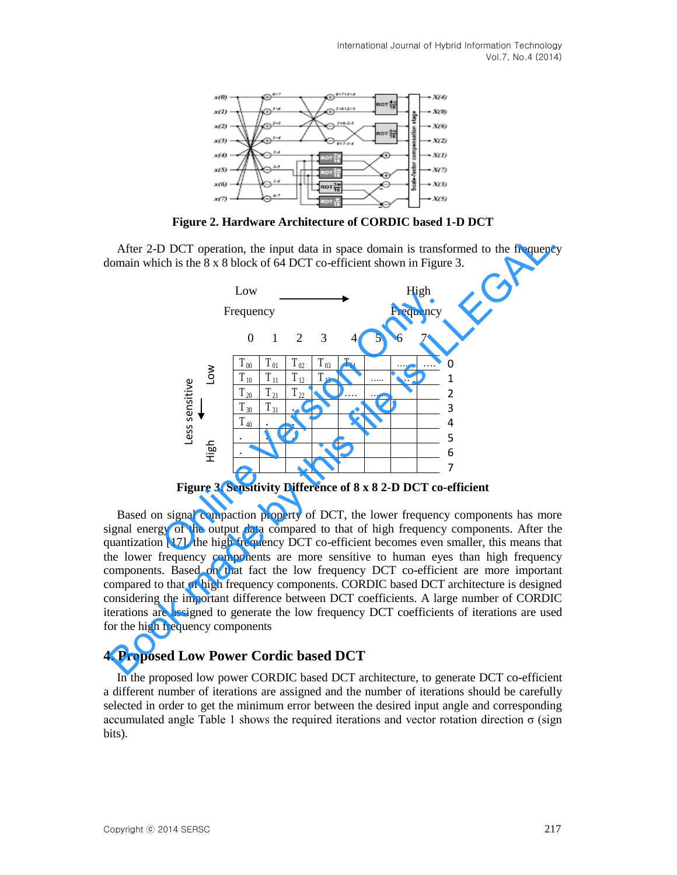

**Figure 2. Hardware Architecture of CORDIC based 1-D DCT** 

After 2-D DCT operation, the input data in space domain is transformed to the frequency domain which is the 8 x 8 block of 64 DCT co-efficient shown in Figure 3.



**Figure 3. Sensitivity Difference of 8 x 8 2-D DCT co-efficient** 

Based on signal compaction property of DCT, the lower frequency components has more signal energy of the output data compared to that of high frequency components. After the quantization [17], the high frequency DCT co-efficient becomes even smaller, this means that the lower frequency components are more sensitive to human eyes than high frequency components. Based on that fact the low frequency DCT co-efficient are more important compared to that of high frequency components. CORDIC based DCT architecture is designed considering the important difference between DCT coefficients. A large number of CORDIC iterations are assigned to generate the low frequency DCT coefficients of iterations are used for the high frequency components

## **4. Proposed Low Power Cordic based DCT**

In the proposed low power CORDIC based DCT architecture, to generate DCT co-efficient a different number of iterations are assigned and the number of iterations should be carefully selected in order to get the minimum error between the desired input angle and corresponding accumulated angle Table 1 shows the required iterations and vector rotation direction σ (sign bits).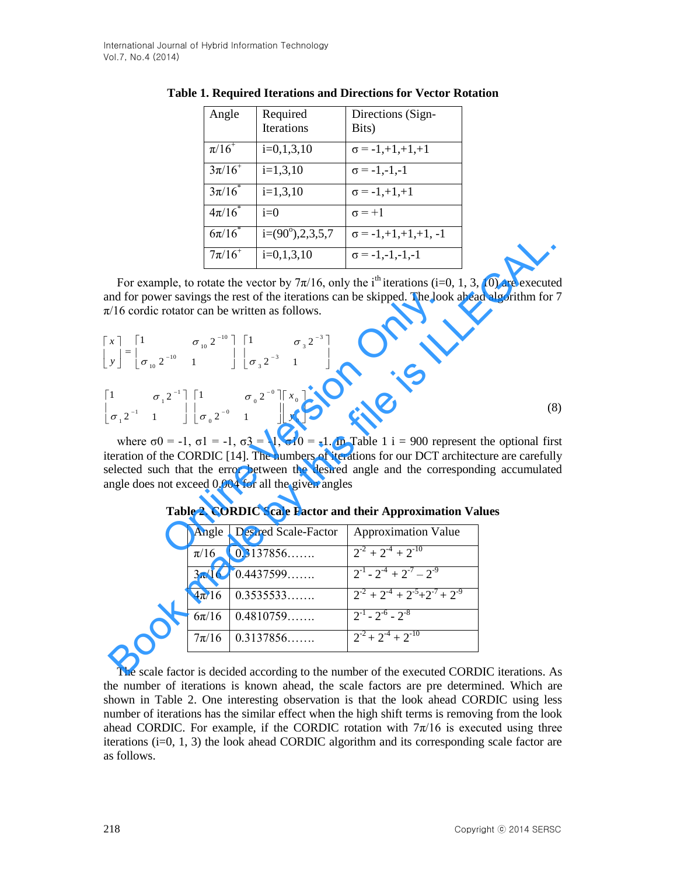| Angle         | Required                 | Directions (Sign-             |
|---------------|--------------------------|-------------------------------|
|               | <b>Iterations</b>        | Bits)                         |
| $\pi/16^{+}$  | $i=0,1,3,10$             | $\sigma = -1, +1, +1, +1$     |
| $3\pi/16^{+}$ | $i=1,3,10$               | $\sigma = -1,-1,-1$           |
| $3\pi/16^{*}$ | $i=1,3,10$               | $\sigma = -1, +1, +1$         |
| $4\pi/16^{*}$ | $i=0$                    | $\sigma = +1$                 |
| $6\pi/16^{*}$ | $i=(90^{\circ}),2,3,5,7$ | $\sigma = -1, +1, +1, +1, -1$ |
| $7\pi/16^+$   | $i=0,1,3,10$             | $\sigma = -1, -1, -1, -1$     |

**Table 1. Required Iterations and Directions for Vector Rotation** 

For example, to rotate the vector by  $7\pi/16$ , only the i<sup>th</sup> iterations (i=0, 1, 3, 10) are executed and for power savings the rest of the iterations can be skipped. The look ahead algorithm for 7  $\pi/16$  cordic rotator can be written as follows.

For example, to rotate the vector by 
$$
7\pi/16
$$
, only the i<sup>th</sup> iterations (i=0, 1, 3, 10) are executed  
\nand for power savings the rest of the iterations can be skipped. The look ahead algorithm for 7  
\n $\pi/16$  cordic rotation can be written as follows.  
\n
$$
\begin{bmatrix}\nx \\
y\n\end{bmatrix} = \begin{bmatrix}\n1 & \sigma_{10} 2^{-10} \\
\sigma_{10} 2^{-10} & 1\n\end{bmatrix} \begin{bmatrix}\n1 & \sigma_{3} 2^{-3} \\
\sigma_{4} 2^{-2} & 1\n\end{bmatrix} \begin{bmatrix}\n1 & \sigma_{5} 2^{-3} \\
\sigma_{6} 2^{-1} & 1\n\end{bmatrix}
$$
\n
$$
\begin{bmatrix}\n\sigma_{11} 2^{-1} & \sigma_{12} 2^{-10} \\
\sigma_{13} 2^{-10} & 1\n\end{bmatrix} \begin{bmatrix}\n1 & \sigma_{3} 2^{-3} \\
\sigma_{4} 2^{-2} & 1\n\end{bmatrix}
$$
\nwhere  $\sigma = -1$ ,  $\sigma = -1$ ,  $\sigma = -1$ ,  $\sigma = -1$ ,  $\sigma = -1$ ,  $\sigma = -1$ ,  $\sigma = -1$ . In Table 1 i = 900 represent the optional first  
\niteration of the CONDIC [14]. The numbers of iterations for our DCT architecture are carefully selected such that the error between the desired angle and the corresponding accumulated  
\nangle does not exceed 0.004 for all the given angles  
\n**Table 2. CONDIC Scale Factor and their Approximation Values**  
\n
$$
\begin{array}{r}\n\pi/16 & 0.3137856\dots \\
\pi/16 & 0.4437599\dots \\
\hline\n\pi/16 & 0.4437599\dots \\
\hline\n\pi/16 & 0.4810759\dots \\
\hline\n\pi/16 & 0.3137856\dots \\
\hline\n\pi/16 & 0.3137856\dots \\
\hline\n\pi/16 & 0.3137856\dots \\
\hline\n\pi/16 & 0.3137856\dots \\
\hline\n\pi/16 & 0.3137856\dots \\
\hline\n\pi/16 & 0.3137856\dots \\
\hline\n\pi/16 & 0.31378
$$

where  $\sigma$ 0 = -1,  $\sigma$ 1 = -1,  $\sigma$ 3 = -1,  $\sigma$ 10 = -1. In Table 1 i = 900 represent the optional first iteration of the CORDIC [14]. The numbers of iterations for our DCT architecture are carefully selected such that the error between the desired angle and the corresponding accumulated angle does not exceed 0.004 for all the given angles

| Angle     | Desired Scale-Factor | Approximation Value                          |
|-----------|----------------------|----------------------------------------------|
| $\pi/16$  | 0.3137856            | $2^{-2} + 2^{-4} + 2^{-10}$                  |
| $3\pi/16$ | 0.4437599            | $2^{-1}$ - $2^{-4}$ + $2^{-7}$ - $2^{-9}$    |
| $4\pi/16$ | 0.3535533            | $2^{-2} + 2^{-4} + 2^{-5} + 2^{-7} + 2^{-9}$ |
| $6\pi/16$ | 0.4810759            | $2^{-1}$ - $2^{-6}$ - $2^{-8}$               |
| $7\pi/16$ | 0.3137856            | $2^{-2} + 2^{-4} + 2^{-10}$                  |

**Table 2. CORDIC Scale Factor and their Approximation Values** 

The scale factor is decided according to the number of the executed CORDIC iterations. As the number of iterations is known ahead, the scale factors are pre determined. Which are shown in Table 2. One interesting observation is that the look ahead CORDIC using less number of iterations has the similar effect when the high shift terms is removing from the look ahead CORDIC. For example, if the CORDIC rotation with  $7\pi/16$  is executed using three iterations (i=0, 1, 3) the look ahead CORDIC algorithm and its corresponding scale factor are as follows.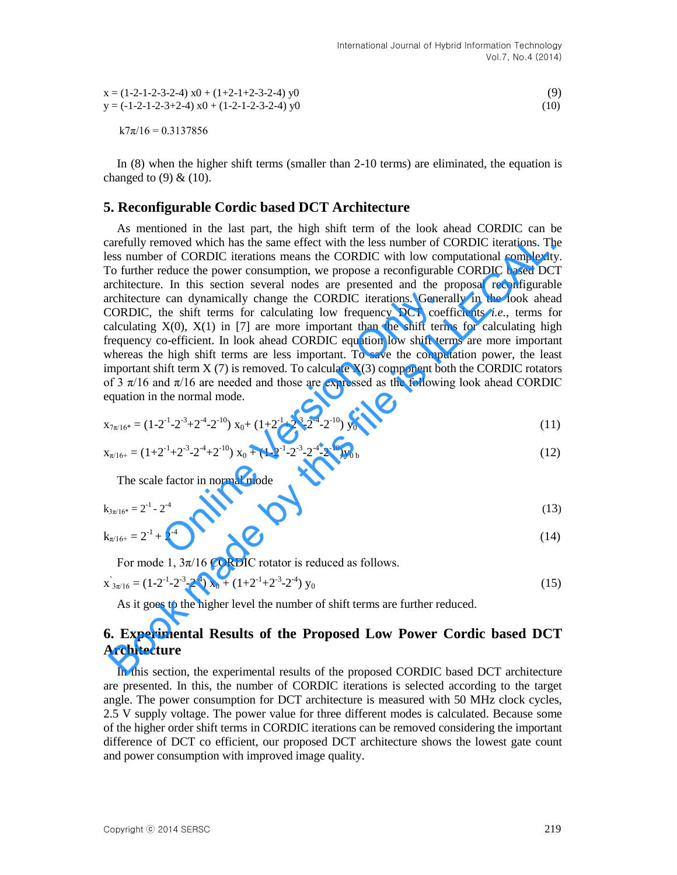| $x = (1-2-1-2-3-2-4)$ $x0 + (1+2-1+2-3-2-4)$ y0 | (9)  |
|-------------------------------------------------|------|
| $y = (-1-2-1-2-3+2-4)$ x0 + (1-2-1-2-3-2-4) y0  | (10) |

 $k7\pi/16 = 0.3137856$ 

In (8) when the higher shift terms (smaller than 2-10 terms) are eliminated, the equation is changed to  $(9)$  &  $(10)$ .

### **5. Reconfigurable Cordic based DCT Architecture**

As mentioned in the last part, the high shift term of the look ahead CORDIC can be carefully removed which has the same effect with the less number of CORDIC iterations. The less number of CORDIC iterations means the CORDIC with low computational complexity. To further reduce the power consumption, we propose a reconfigurable CORDIC based DCT architecture. In this section several nodes are presented and the proposal reconfigurable architecture can dynamically change the CORDIC iterations. Generally in the look ahead CORDIC, the shift terms for calculating low frequency DCT coefficients *i.e.*, terms for calculating  $X(0)$ ,  $X(1)$  in [7] are more important than the shift terms for calculating high frequency co-efficient. In look ahead CORDIC equation low shift terms are more important whereas the high shift terms are less important. To save the computation power, the least important shift term  $X(7)$  is removed. To calculate  $X(3)$  component both the CORDIC rotators of 3  $\pi/16$  and  $\pi/16$  are needed and those are expressed as the following look ahead CORDIC equation in the normal mode. can dynamically change the CORDIC iterations. Gener<br>the shift terms for calculating low frequency DCT coef<br>X(0), X(1) in [7] are more important than the shift term<br>o-efficient. In look ahead CORDIC equation low shift ter<br> arefully removed which has the same effect with the less number of CORDIC iterations. The<br>ses number of CORDIC iterations means the CORDIC vil buy computational complexiis<br>of o further reduce the power consumption, we pro

$$
x_{7\pi/16^*} = (1 - 2^{-1} - 2^{-3} + 2^{-4} - 2^{-10}) x_0 + (1 + 2^{-1} + 2^{-3} - 2^{-4} - 2^{-10}) y_0
$$
\n(11)

$$
x_{\pi/16+} = (1+2^{-1}+2^{-3}-2^{-4}+2^{-10}) x_0 + (1-2^{-1}-2^{-3}-2^{-4}-2^{-10}) y_{0\,b} \tag{12}
$$

The scale factor in normal mode

$$
k_{3\pi/16^*} = 2^{-1} - 2^{-4} \tag{13}
$$

$$
k_{\pi/16+} = 2^{-1} + 2^{-4} \tag{14}
$$

For mode 1,  $3\pi/16$  CORDIC rotator is reduced as follows.

 $x'_{3\pi/16} = (1-2^{-1}-2^{-3}-2^{-4}) x_0 + (1+2^{-1}+2^{-3}-2^{-4}) y_0$  (15)

As it goes to the higher level the number of shift terms are further reduced.

## **6. Experimental Results of the Proposed Low Power Cordic based DCT Architecture**

In this section, the experimental results of the proposed CORDIC based DCT architecture are presented. In this, the number of CORDIC iterations is selected according to the target angle. The power consumption for DCT architecture is measured with 50 MHz clock cycles, 2.5 V supply voltage. The power value for three different modes is calculated. Because some of the higher order shift terms in CORDIC iterations can be removed considering the important difference of DCT co efficient, our proposed DCT architecture shows the lowest gate count and power consumption with improved image quality.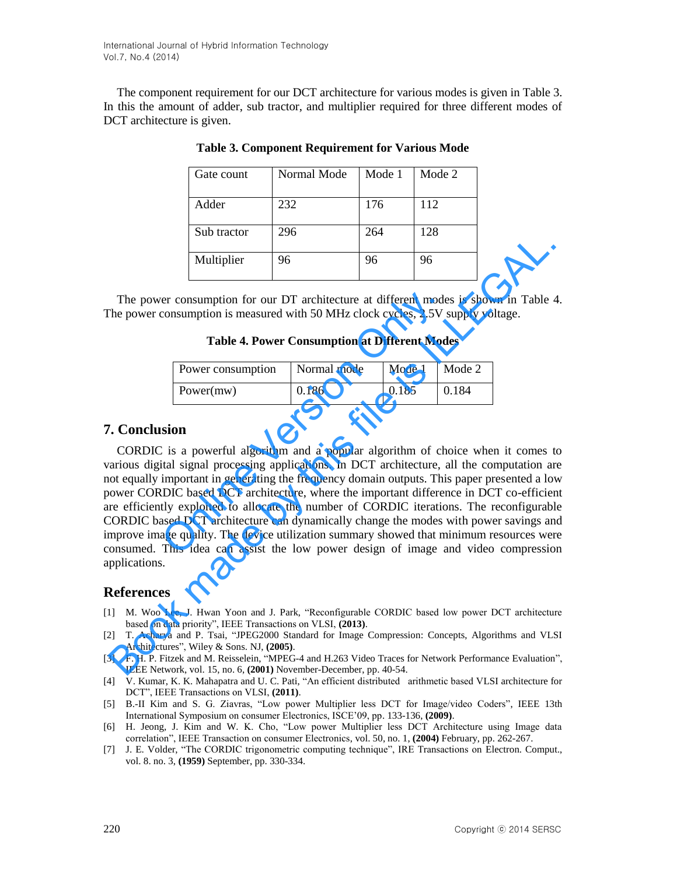The component requirement for our DCT architecture for various modes is given in Table 3. In this the amount of adder, sub tractor, and multiplier required for three different modes of DCT architecture is given.

| Gate count  | Normal Mode | Mode 1 | Mode 2 |
|-------------|-------------|--------|--------|
| Adder       | 232         | 176    | 112    |
| Sub tractor | 296         | 264    | 128    |
| Multiplier  | 96          | 96     | 96     |

**Table 3. Component Requirement for Various Mode** 

The power consumption for our DT architecture at different modes is shown in Table 4. The power consumption is measured with 50 MHz clock cycles, 2.5V supply voltage.

**Table 4. Power Consumption at Different Modes** 

| Power consumption | Normal mode | Mode 1 | Mode 2 |
|-------------------|-------------|--------|--------|
| Power(mw)         | 0.186       | 0.185  | 0.184  |

## **7. Conclusion**

CORDIC is a powerful algorithm and a popular algorithm of choice when it comes to various digital signal processing applications. In DCT architecture, all the computation are not equally important in generating the frequency domain outputs. This paper presented a low power CORDIC based DCT architecture, where the important difference in DCT co-efficient are efficiently exploited to allocate the number of CORDIC iterations. The reconfigurable CORDIC based DCT architecture can dynamically change the modes with power savings and improve image quality. The device utilization summary showed that minimum resources were consumed. This idea can assist the low power design of image and video compression applications. er consumption for our DT architecture at different mode<br>
consumption is measured with 50 MHz clock cycles, 2.5V s<br> **Table 4. Power Consumption at Different Mod**<br>
Power consumption Normal mode Mode 1 N<br>
Power(mw) 0.186 0.1 **EXECUTE THE SET CONSULT AND THE SET CONSULT AND THE SET CONSULTED SET AND MONET CONSULTED TO SET AND MANUSION CONSULTED THE SET CONSULTED AND MANUSION CONSULTED FIRE INTERNATION (CONSULT IS a powerful algorithm and a pop** 

## **References**

- [1] M. Woo Lee, J. Hwan Yoon and J. Park, "Reconfigurable CORDIC based low power DCT architecture based on data priority", IEEE Transactions on VLSI, **(2013)**.
- [2] T. Acharya and P. Tsai, "JPEG2000 Standard for Image Compression: Concepts, Algorithms and VLSI Architectures", Wiley & Sons. NJ, **(2005)**.
- [3] F. H. P. Fitzek and M. Reisselein, "MPEG-4 and H.263 Video Traces for Network Performance Evaluation", IEEE Network, vol. 15, no. 6, **(2001)** November-December, pp. 40-54.
- [4] V. Kumar, K. K. Mahapatra and U. C. Pati, "An efficient distributed arithmetic based VLSI architecture for DCT", IEEE Transactions on VLSI, **(2011)**.
- [5] B.-II Kim and S. G. Ziavras, "Low power Multiplier less DCT for Image/video Coders", IEEE 13th International Symposium on consumer Electronics, ISCE'09, pp. 133-136, **(2009)**.
- [6] H. Jeong, J. Kim and W. K. Cho, "Low power Multiplier less DCT Architecture using Image data correlation", IEEE Transaction on consumer Electronics, vol. 50, no. 1, **(2004)** February, pp. 262-267.
- [7] J. E. Volder, "The CORDIC trigonometric computing technique", IRE Transactions on Electron. Comput., vol. 8. no. 3, **(1959)** September, pp. 330-334.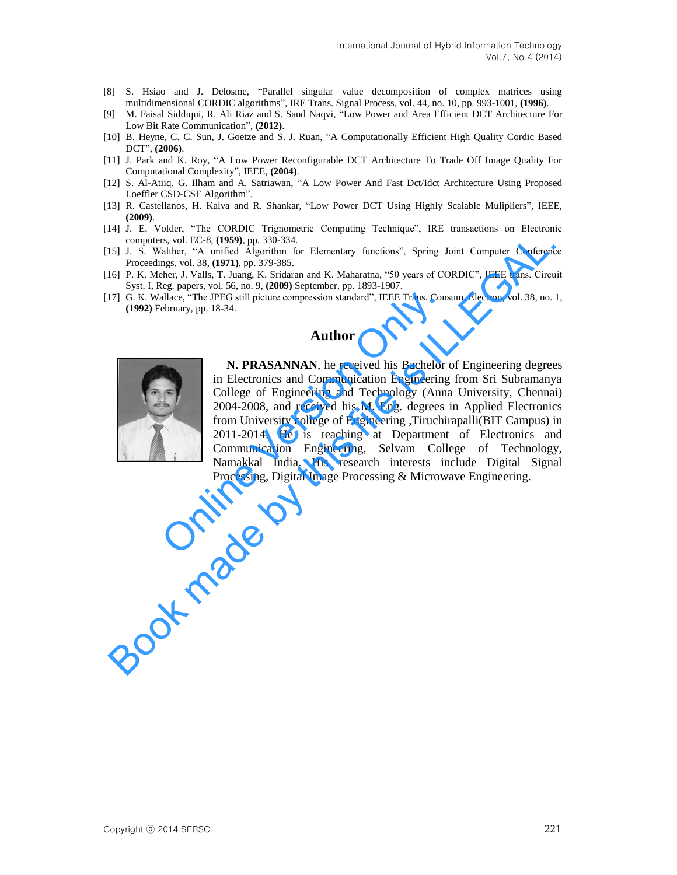- [8] S. Hsiao and J. Delosme, "Parallel singular value decomposition of complex matrices using multidimensional CORDIC algorithms", IRE Trans. Signal Process, vol. 44, no. 10, pp. 993-1001, **(1996)**.
- [9] M. Faisal Siddiqui, R. Ali Riaz and S. Saud Naqvi, "Low Power and Area Efficient DCT Architecture For Low Bit Rate Communication", **(2012)**.
- [10] B. Heyne, C. C. Sun, J. Goetze and S. J. Ruan, "A Computationally Efficient High Quality Cordic Based DCT", **(2006)**.
- [11] J. Park and K. Roy, "A Low Power Reconfigurable DCT Architecture To Trade Off Image Quality For Computational Complexity", IEEE, **(2004)**.
- [12] S. Al-Atiiq, G. Ilham and A. Satriawan, "A Low Power And Fast Dct/Idct Architecture Using Proposed Loeffler CSD-CSE Algorithm".
- [13] R. Castellanos, H. Kalva and R. Shankar, "Low Power DCT Using Highly Scalable Mulipliers", IEEE, **(2009)**.
- [14] J. E. Volder, "The CORDIC Trignometric Computing Technique", IRE transactions on Electronic computers, vol. EC-8, **(1959)**, pp. 330-334.
- [15] J. S. Walther, "A unified Algorithm for Elementary functions", Spring Joint Computer Conference Proceedings, vol. 38, **(1971)**, pp. 379-385.
- [16] P. K. Meher, J. Valls, T. Juang, K. Sridaran and K. Maharatna, "50 years of CORDIC", IEEE trans. Circuit Syst. I, Reg. papers, vol. 56, no. 9, **(2009)** September, pp. 1893-1907.
- [17] G. K. Wallace, "The JPEG still picture compression standard", IEEE Trans. Consum. Electron, vol. 38, no. 1, **(1992)** February, pp. 18-34.

#### **Author**



**N. PRASANNAN**, he received his Bachelor of Engineering degrees in Electronics and Communication Engineering from Sri Subramanya College of Engineering and Technology (Anna University, Chennai) 2004-2008, and received his M. Eng. degrees in Applied Electronics from University college of Engineering ,Tiruchirapalli(BIT Campus) in 2011-2014. He is teaching at Department of Electronics and Communication Engineering, Selvam College of Technology, Namakkal India. His research interests include Digital Signal Processing, Digital Image Processing & Microwave Engineering. allace, "The JPEG still picture compression standard", IEEE Trans. Consebruary, pp. 18-34.<br> **Author**<br> **N. PRASANNAN**, he received his Bachelor<br>
in Electronics and Communication Engineering<br>
College of Engineering and Techn computers, vol. EC-8, (1989), pp. 330-334.<br>
Solution, No. Ecosimis, Markon Filementary functions", Spring Joint Computer Conference<br>
Procedings, vol. 38, (1992), 9.79-385.<br>
161 P. K. Meher, J. Valls, T. Juang, K. Sridarn a